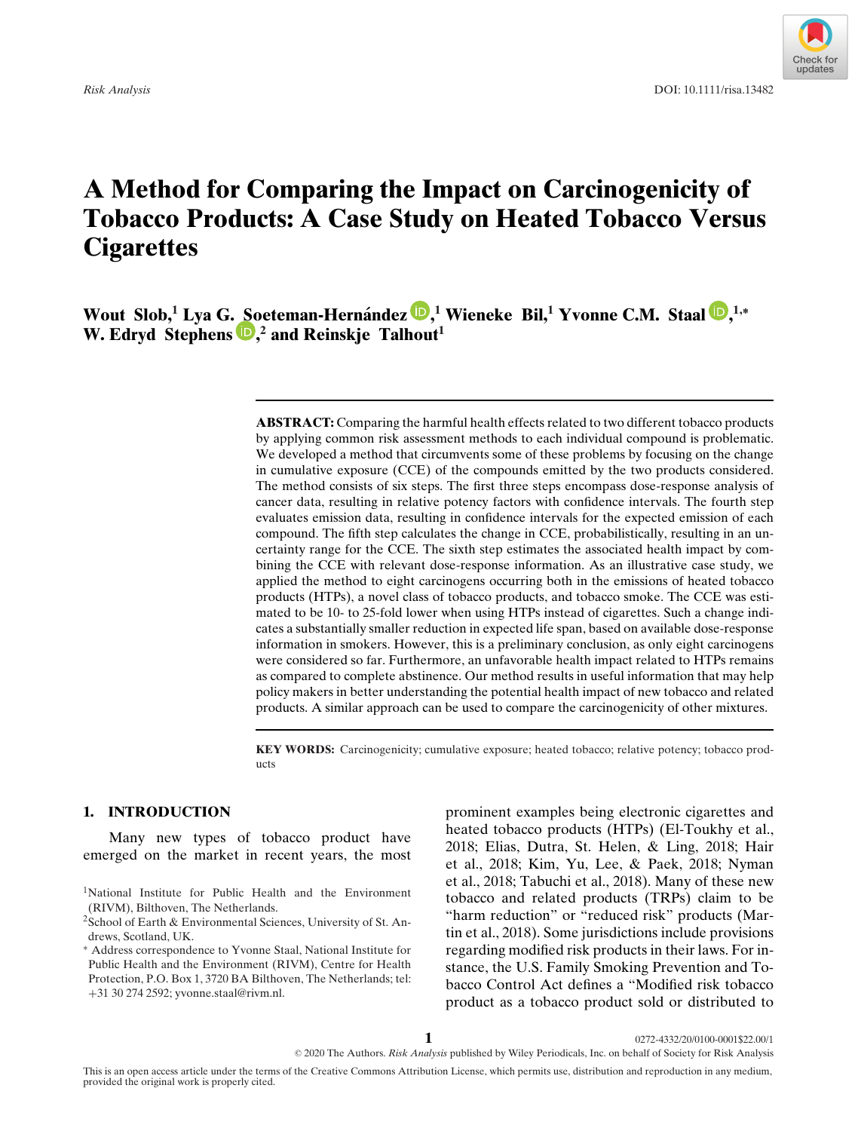# **A Method for Comparing the Impact on Carcinogenicity of Tobacco Products: A Case Study on Heated Tobacco Versus Cigarettes**

**Wout Slob,<sup>1</sup> Lya G[. So](https://orcid.org/0000-0002-0884-8722)eteman-Hernández**  $\bullet$ **[,](https://orcid.org/0000-0002-7187-0121)<sup>1</sup> Wieneke Bil,<sup>1</sup> Yvonne C.M. Staal**  $\bullet$ **,<sup>1,\*</sup> W. Edryd Stephens**  $\mathbf{D},^2$  **and Reinskje Talhout<sup>1</sup>** 

> **ABSTRACT:** Comparing the harmful health effects related to two different tobacco products by applying common risk assessment methods to each individual compound is problematic. We developed a method that circumvents some of these problems by focusing on the change in cumulative exposure (CCE) of the compounds emitted by the two products considered. The method consists of six steps. The first three steps encompass dose-response analysis of cancer data, resulting in relative potency factors with confidence intervals. The fourth step evaluates emission data, resulting in confidence intervals for the expected emission of each compound. The fifth step calculates the change in CCE, probabilistically, resulting in an uncertainty range for the CCE. The sixth step estimates the associated health impact by combining the CCE with relevant dose-response information. As an illustrative case study, we applied the method to eight carcinogens occurring both in the emissions of heated tobacco products (HTPs), a novel class of tobacco products, and tobacco smoke. The CCE was estimated to be 10- to 25-fold lower when using HTPs instead of cigarettes. Such a change indicates a substantially smaller reduction in expected life span, based on available dose-response information in smokers. However, this is a preliminary conclusion, as only eight carcinogens were considered so far. Furthermore, an unfavorable health impact related to HTPs remains as compared to complete abstinence. Our method results in useful information that may help policy makers in better understanding the potential health impact of new tobacco and related products. A similar approach can be used to compare the carcinogenicity of other mixtures.

> **KEY WORDS:** Carcinogenicity; cumulative exposure; heated tobacco; relative potency; tobacco products

## **1. INTRODUCTION**

Many new types of tobacco product have emerged on the market in recent years, the most

prominent examples being electronic cigarettes and heated tobacco products (HTPs) (El-Toukhy et al., 2018; Elias, Dutra, St. Helen, & Ling, 2018; Hair et al., 2018; Kim, Yu, Lee, & Paek, 2018; Nyman et al., 2018; Tabuchi et al., 2018). Many of these new tobacco and related products (TRPs) claim to be "harm reduction" or "reduced risk" products (Martin et al., 2018). Some jurisdictions include provisions regarding modified risk products in their laws. For instance, the U.S. Family Smoking Prevention and Tobacco Control Act defines a "Modified risk tobacco product as a tobacco product sold or distributed to

<sup>1</sup>National Institute for Public Health and the Environment (RIVM), Bilthoven, The Netherlands.

<sup>2</sup>School of Earth & Environmental Sciences, University of St. Andrews, Scotland, UK.

<sup>∗</sup> Address correspondence to Yvonne Staal, National Institute for Public Health and the Environment (RIVM), Centre for Health Protection, P.O. Box 1, 3720 BA Bilthoven, The Netherlands; tel: +31 30 274 2592; yvonne.staal@rivm.nl.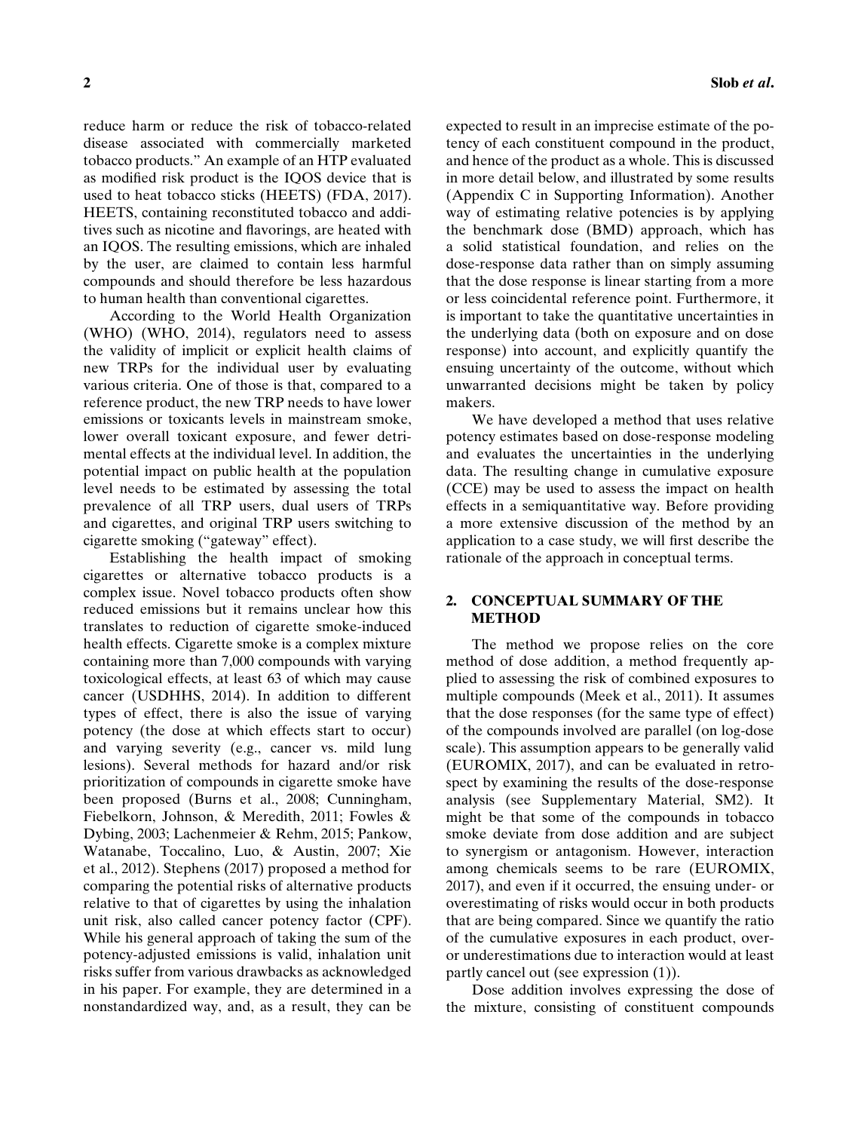reduce harm or reduce the risk of tobacco-related disease associated with commercially marketed tobacco products." An example of an HTP evaluated as modified risk product is the IQOS device that is used to heat tobacco sticks (HEETS) (FDA, 2017). HEETS, containing reconstituted tobacco and additives such as nicotine and flavorings, are heated with an IQOS. The resulting emissions, which are inhaled by the user, are claimed to contain less harmful compounds and should therefore be less hazardous to human health than conventional cigarettes.

According to the World Health Organization (WHO) (WHO, 2014), regulators need to assess the validity of implicit or explicit health claims of new TRPs for the individual user by evaluating various criteria. One of those is that, compared to a reference product, the new TRP needs to have lower emissions or toxicants levels in mainstream smoke, lower overall toxicant exposure, and fewer detrimental effects at the individual level. In addition, the potential impact on public health at the population level needs to be estimated by assessing the total prevalence of all TRP users, dual users of TRPs and cigarettes, and original TRP users switching to cigarette smoking ("gateway" effect).

Establishing the health impact of smoking cigarettes or alternative tobacco products is a complex issue. Novel tobacco products often show reduced emissions but it remains unclear how this translates to reduction of cigarette smoke-induced health effects. Cigarette smoke is a complex mixture containing more than 7,000 compounds with varying toxicological effects, at least 63 of which may cause cancer (USDHHS, 2014). In addition to different types of effect, there is also the issue of varying potency (the dose at which effects start to occur) and varying severity (e.g., cancer vs. mild lung lesions). Several methods for hazard and/or risk prioritization of compounds in cigarette smoke have been proposed (Burns et al., 2008; Cunningham, Fiebelkorn, Johnson, & Meredith, 2011; Fowles & Dybing, 2003; Lachenmeier & Rehm, 2015; Pankow, Watanabe, Toccalino, Luo, & Austin, 2007; Xie et al., 2012). Stephens (2017) proposed a method for comparing the potential risks of alternative products relative to that of cigarettes by using the inhalation unit risk, also called cancer potency factor (CPF). While his general approach of taking the sum of the potency-adjusted emissions is valid, inhalation unit risks suffer from various drawbacks as acknowledged in his paper. For example, they are determined in a nonstandardized way, and, as a result, they can be

**2 Slob** *et al***.**

expected to result in an imprecise estimate of the potency of each constituent compound in the product, and hence of the product as a whole. This is discussed in more detail below, and illustrated by some results (Appendix C in Supporting Information). Another way of estimating relative potencies is by applying the benchmark dose (BMD) approach, which has a solid statistical foundation, and relies on the dose-response data rather than on simply assuming that the dose response is linear starting from a more or less coincidental reference point. Furthermore, it is important to take the quantitative uncertainties in the underlying data (both on exposure and on dose response) into account, and explicitly quantify the ensuing uncertainty of the outcome, without which unwarranted decisions might be taken by policy makers.

We have developed a method that uses relative potency estimates based on dose-response modeling and evaluates the uncertainties in the underlying data. The resulting change in cumulative exposure (CCE) may be used to assess the impact on health effects in a semiquantitative way. Before providing a more extensive discussion of the method by an application to a case study, we will first describe the rationale of the approach in conceptual terms.

# **2. CONCEPTUAL SUMMARY OF THE METHOD**

The method we propose relies on the core method of dose addition, a method frequently applied to assessing the risk of combined exposures to multiple compounds (Meek et al., 2011). It assumes that the dose responses (for the same type of effect) of the compounds involved are parallel (on log-dose scale). This assumption appears to be generally valid (EUROMIX, 2017), and can be evaluated in retrospect by examining the results of the dose-response analysis (see Supplementary Material, SM2). It might be that some of the compounds in tobacco smoke deviate from dose addition and are subject to synergism or antagonism. However, interaction among chemicals seems to be rare (EUROMIX, 2017), and even if it occurred, the ensuing under- or overestimating of risks would occur in both products that are being compared. Since we quantify the ratio of the cumulative exposures in each product, overor underestimations due to interaction would at least partly cancel out (see expression (1)).

Dose addition involves expressing the dose of the mixture, consisting of constituent compounds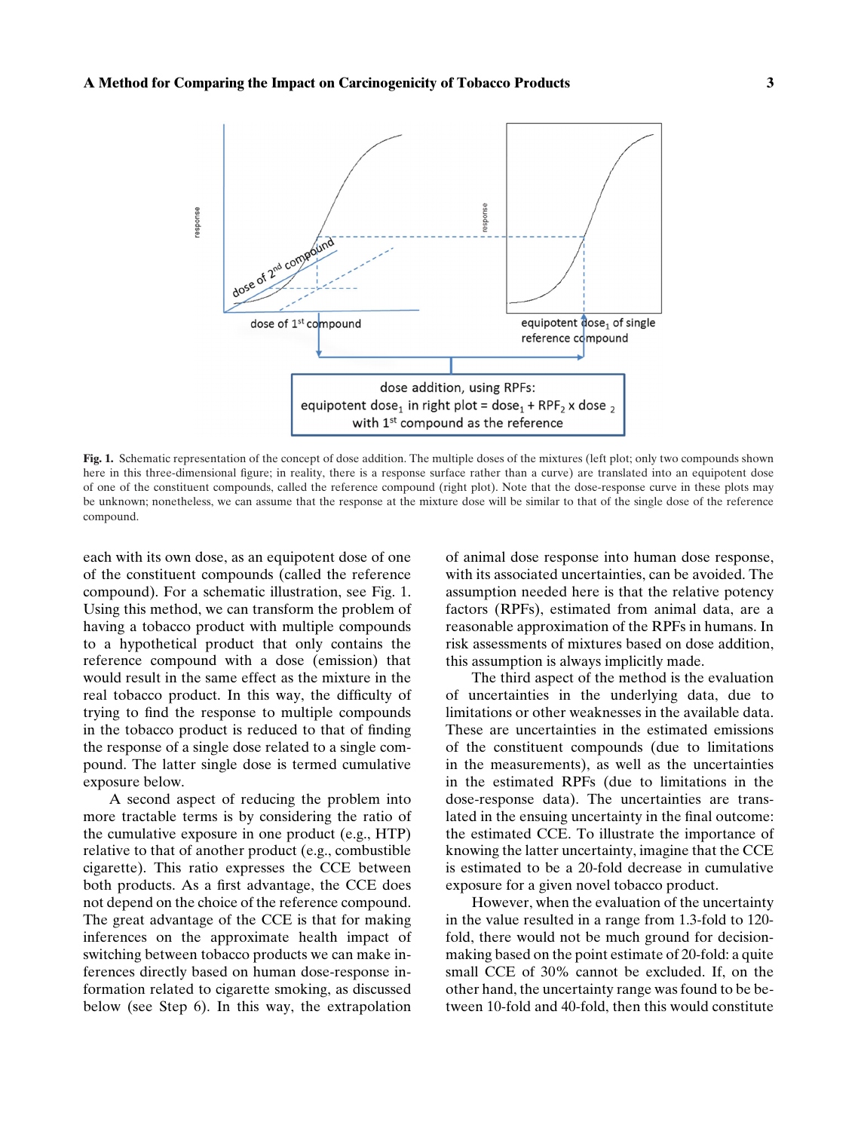### **A Method for Comparing the Impact on Carcinogenicity of Tobacco Products 3**



**Fig. 1.** Schematic representation of the concept of dose addition. The multiple doses of the mixtures (left plot; only two compounds shown here in this three-dimensional figure; in reality, there is a response surface rather than a curve) are translated into an equipotent dose of one of the constituent compounds, called the reference compound (right plot). Note that the dose-response curve in these plots may be unknown; nonetheless, we can assume that the response at the mixture dose will be similar to that of the single dose of the reference compound.

each with its own dose, as an equipotent dose of one of the constituent compounds (called the reference compound). For a schematic illustration, see Fig. 1. Using this method, we can transform the problem of having a tobacco product with multiple compounds to a hypothetical product that only contains the reference compound with a dose (emission) that would result in the same effect as the mixture in the real tobacco product. In this way, the difficulty of trying to find the response to multiple compounds in the tobacco product is reduced to that of finding the response of a single dose related to a single compound. The latter single dose is termed cumulative exposure below.

A second aspect of reducing the problem into more tractable terms is by considering the ratio of the cumulative exposure in one product (e.g., HTP) relative to that of another product (e.g., combustible cigarette). This ratio expresses the CCE between both products. As a first advantage, the CCE does not depend on the choice of the reference compound. The great advantage of the CCE is that for making inferences on the approximate health impact of switching between tobacco products we can make inferences directly based on human dose-response information related to cigarette smoking, as discussed below (see Step 6). In this way, the extrapolation

of animal dose response into human dose response, with its associated uncertainties, can be avoided. The assumption needed here is that the relative potency factors (RPFs), estimated from animal data, are a reasonable approximation of the RPFs in humans. In risk assessments of mixtures based on dose addition, this assumption is always implicitly made.

The third aspect of the method is the evaluation of uncertainties in the underlying data, due to limitations or other weaknesses in the available data. These are uncertainties in the estimated emissions of the constituent compounds (due to limitations in the measurements), as well as the uncertainties in the estimated RPFs (due to limitations in the dose-response data). The uncertainties are translated in the ensuing uncertainty in the final outcome: the estimated CCE. To illustrate the importance of knowing the latter uncertainty, imagine that the CCE is estimated to be a 20-fold decrease in cumulative exposure for a given novel tobacco product.

However, when the evaluation of the uncertainty in the value resulted in a range from 1.3-fold to 120 fold, there would not be much ground for decisionmaking based on the point estimate of 20-fold: a quite small CCE of 30% cannot be excluded. If, on the other hand, the uncertainty range was found to be between 10-fold and 40-fold, then this would constitute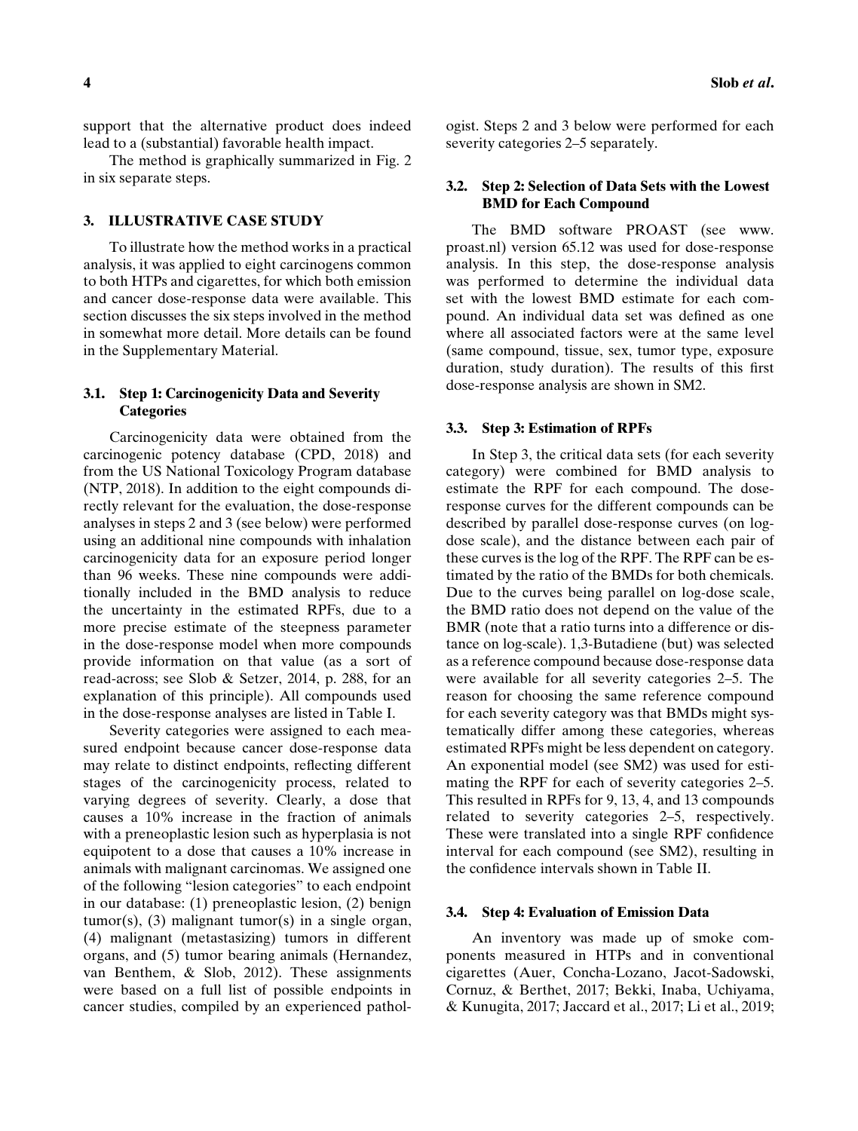support that the alternative product does indeed lead to a (substantial) favorable health impact.

The method is graphically summarized in Fig. 2 in six separate steps.

## **3. ILLUSTRATIVE CASE STUDY**

To illustrate how the method works in a practical analysis, it was applied to eight carcinogens common to both HTPs and cigarettes, for which both emission and cancer dose-response data were available. This section discusses the six steps involved in the method in somewhat more detail. More details can be found in the Supplementary Material.

## **3.1. Step 1: Carcinogenicity Data and Severity Categories**

Carcinogenicity data were obtained from the carcinogenic potency database (CPD, 2018) and from the US National Toxicology Program database (NTP, 2018). In addition to the eight compounds directly relevant for the evaluation, the dose-response analyses in steps 2 and 3 (see below) were performed using an additional nine compounds with inhalation carcinogenicity data for an exposure period longer than 96 weeks. These nine compounds were additionally included in the BMD analysis to reduce the uncertainty in the estimated RPFs, due to a more precise estimate of the steepness parameter in the dose-response model when more compounds provide information on that value (as a sort of read-across; see Slob & Setzer, 2014, p. 288, for an explanation of this principle). All compounds used in the dose-response analyses are listed in Table I.

Severity categories were assigned to each measured endpoint because cancer dose-response data may relate to distinct endpoints, reflecting different stages of the carcinogenicity process, related to varying degrees of severity. Clearly, a dose that causes a 10% increase in the fraction of animals with a preneoplastic lesion such as hyperplasia is not equipotent to a dose that causes a 10% increase in animals with malignant carcinomas. We assigned one of the following "lesion categories" to each endpoint in our database: (1) preneoplastic lesion, (2) benign  $tumor(s)$ , (3) malignant tumor(s) in a single organ, (4) malignant (metastasizing) tumors in different organs, and (5) tumor bearing animals (Hernandez, van Benthem, & Slob, 2012). These assignments were based on a full list of possible endpoints in cancer studies, compiled by an experienced pathologist. Steps 2 and 3 below were performed for each severity categories 2–5 separately.

## **3.2. Step 2: Selection of Data Sets with the Lowest BMD for Each Compound**

The BMD software PROAST (see www. proast.nl) version 65.12 was used for dose-response analysis. In this step, the dose-response analysis was performed to determine the individual data set with the lowest BMD estimate for each compound. An individual data set was defined as one where all associated factors were at the same level (same compound, tissue, sex, tumor type, exposure duration, study duration). The results of this first dose-response analysis are shown in SM2.

#### **3.3. Step 3: Estimation of RPFs**

In Step 3, the critical data sets (for each severity category) were combined for BMD analysis to estimate the RPF for each compound. The doseresponse curves for the different compounds can be described by parallel dose-response curves (on logdose scale), and the distance between each pair of these curves is the log of the RPF. The RPF can be estimated by the ratio of the BMDs for both chemicals. Due to the curves being parallel on log-dose scale, the BMD ratio does not depend on the value of the BMR (note that a ratio turns into a difference or distance on log-scale). 1,3-Butadiene (but) was selected as a reference compound because dose-response data were available for all severity categories 2–5. The reason for choosing the same reference compound for each severity category was that BMDs might systematically differ among these categories, whereas estimated RPFs might be less dependent on category. An exponential model (see SM2) was used for estimating the RPF for each of severity categories 2–5. This resulted in RPFs for 9, 13, 4, and 13 compounds related to severity categories 2–5, respectively. These were translated into a single RPF confidence interval for each compound (see SM2), resulting in the confidence intervals shown in Table II.

### **3.4. Step 4: Evaluation of Emission Data**

An inventory was made up of smoke components measured in HTPs and in conventional cigarettes (Auer, Concha-Lozano, Jacot-Sadowski, Cornuz, & Berthet, 2017; Bekki, Inaba, Uchiyama, & Kunugita, 2017; Jaccard et al., 2017; Li et al., 2019;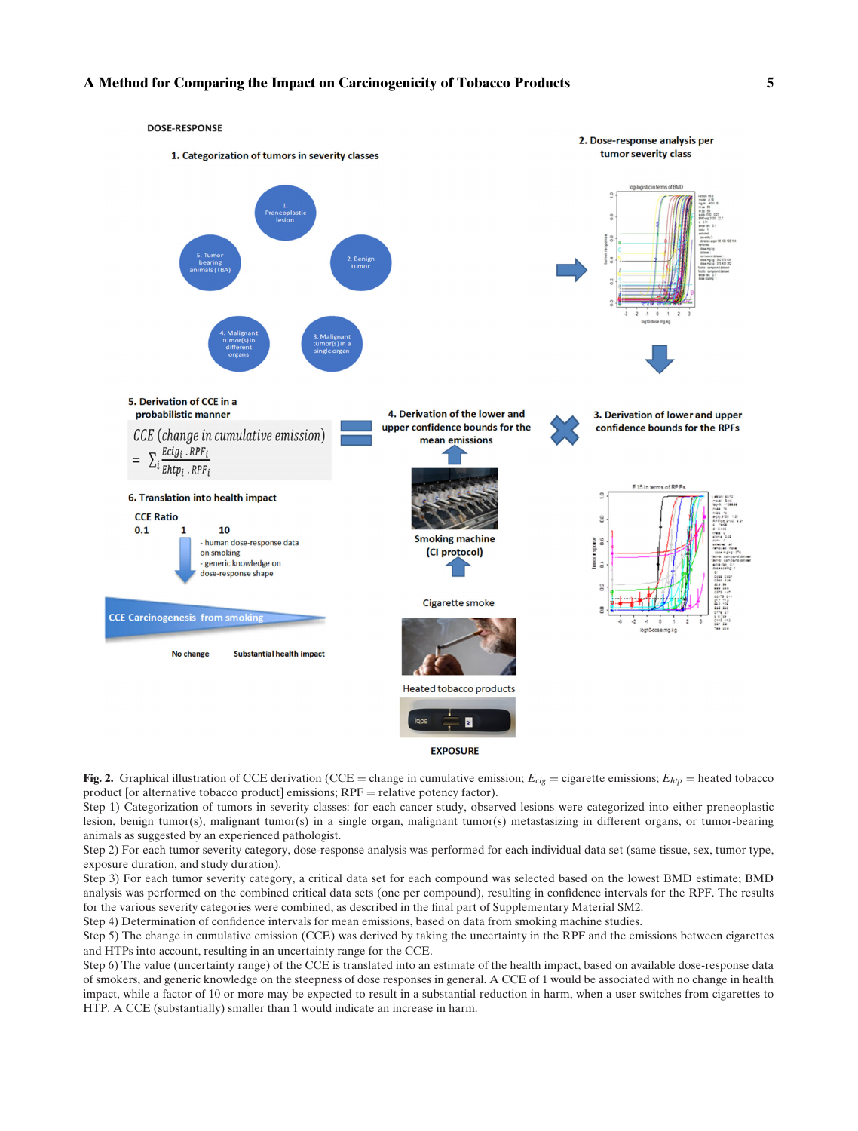#### **A Method for Comparing the Impact on Carcinogenicity of Tobacco Products 5**



**Fig. 2.** Graphical illustration of CCE derivation (CCE = change in cumulative emission;  $E_{cig}$  = cigarette emissions;  $E_{htp}$  = heated tobacco product [or alternative tobacco product] emissions; RPF = relative potency factor).

Step 1) Categorization of tumors in severity classes: for each cancer study, observed lesions were categorized into either preneoplastic lesion, benign tumor(s), malignant tumor(s) in a single organ, malignant tumor(s) metastasizing in different organs, or tumor-bearing animals as suggested by an experienced pathologist.

Step 2) For each tumor severity category, dose-response analysis was performed for each individual data set (same tissue, sex, tumor type, exposure duration, and study duration).

Step 3) For each tumor severity category, a critical data set for each compound was selected based on the lowest BMD estimate; BMD analysis was performed on the combined critical data sets (one per compound), resulting in confidence intervals for the RPF. The results for the various severity categories were combined, as described in the final part of Supplementary Material SM2.

Step 4) Determination of confidence intervals for mean emissions, based on data from smoking machine studies.

Step 5) The change in cumulative emission (CCE) was derived by taking the uncertainty in the RPF and the emissions between cigarettes and HTPs into account, resulting in an uncertainty range for the CCE.

Step 6) The value (uncertainty range) of the CCE is translated into an estimate of the health impact, based on available dose-response data of smokers, and generic knowledge on the steepness of dose responses in general. A CCE of 1 would be associated with no change in health impact, while a factor of 10 or more may be expected to result in a substantial reduction in harm, when a user switches from cigarettes to HTP. A CCE (substantially) smaller than 1 would indicate an increase in harm.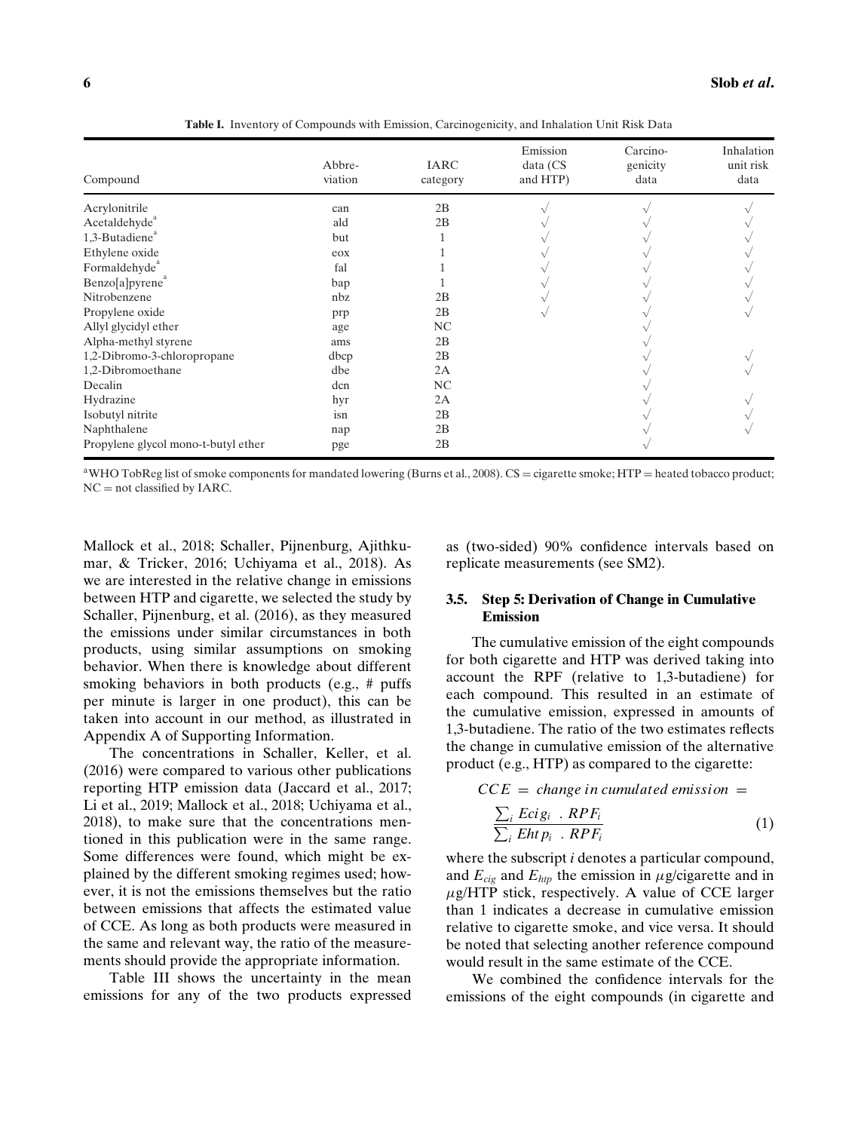| Compound                            | Abbre-<br>viation | <b>IARC</b><br>category | Emission<br>data (CS<br>and HTP) | Carcino-<br>genicity<br>data | Inhalation<br>unit risk<br>data |
|-------------------------------------|-------------------|-------------------------|----------------------------------|------------------------------|---------------------------------|
| Acrylonitrile                       | can               | 2B                      |                                  |                              |                                 |
| Acetaldehyde                        | ald               | 2B                      |                                  |                              |                                 |
| 1,3-Butadiene <sup>®</sup>          | but               |                         |                                  |                              |                                 |
| Ethylene oxide                      | eox               |                         |                                  |                              |                                 |
| Formaldehyde                        | fal               |                         |                                  |                              |                                 |
| Benzo[a]pyrene <sup>a</sup>         | bap               |                         |                                  |                              |                                 |
| Nitrobenzene                        | nbz               | 2B                      |                                  |                              |                                 |
| Propylene oxide                     | prp               | 2B                      |                                  |                              |                                 |
| Allyl glycidyl ether                | age               | NC                      |                                  |                              |                                 |
| Alpha-methyl styrene                | ams               | 2B                      |                                  |                              |                                 |
| 1,2-Dibromo-3-chloropropane         | dbcp              | 2B                      |                                  |                              |                                 |
| 1,2-Dibromoethane                   | dbe               | 2A                      |                                  |                              |                                 |
| Decalin                             | dcn               | NC                      |                                  |                              |                                 |
| Hydrazine                           | hyr               | 2A                      |                                  |                              |                                 |
| Isobutyl nitrite                    | isn               | 2B                      |                                  |                              |                                 |
| Naphthalene                         | nap               | 2B                      |                                  |                              |                                 |
| Propylene glycol mono-t-butyl ether | pge               | 2B                      |                                  |                              |                                 |

**Table I.** Inventory of Compounds with Emission, Carcinogenicity, and Inhalation Unit Risk Data

aWHO TobReg list of smoke components for mandated lowering (Burns et al., 2008). CS <sup>=</sup> cigarette smoke; HTP <sup>=</sup> heated tobacco product; NC = not classified by IARC.

Mallock et al., 2018; Schaller, Pijnenburg, Ajithkumar, & Tricker, 2016; Uchiyama et al., 2018). As we are interested in the relative change in emissions between HTP and cigarette, we selected the study by Schaller, Pijnenburg, et al. (2016), as they measured the emissions under similar circumstances in both products, using similar assumptions on smoking behavior. When there is knowledge about different smoking behaviors in both products (e.g., # puffs per minute is larger in one product), this can be taken into account in our method, as illustrated in Appendix A of Supporting Information.

The concentrations in Schaller, Keller, et al. (2016) were compared to various other publications reporting HTP emission data (Jaccard et al., 2017; Li et al., 2019; Mallock et al., 2018; Uchiyama et al., 2018), to make sure that the concentrations mentioned in this publication were in the same range. Some differences were found, which might be explained by the different smoking regimes used; however, it is not the emissions themselves but the ratio between emissions that affects the estimated value of CCE. As long as both products were measured in the same and relevant way, the ratio of the measurements should provide the appropriate information.

Table III shows the uncertainty in the mean emissions for any of the two products expressed as (two-sided) 90% confidence intervals based on replicate measurements (see SM2).

## **3.5. Step 5: Derivation of Change in Cumulative Emission**

The cumulative emission of the eight compounds for both cigarette and HTP was derived taking into account the RPF (relative to 1,3-butadiene) for each compound. This resulted in an estimate of the cumulative emission, expressed in amounts of 1,3-butadiene. The ratio of the two estimates reflects the change in cumulative emission of the alternative product (e.g., HTP) as compared to the cigarette:

$$
CCE = change in cumulated emission =
$$
  
\n
$$
\frac{\sum_{i} Eci g_i \cdot RPF_i}{\sum_{i} Eht p_i \cdot RPF_i}
$$
 (1)

where the subscript *i* denotes a particular compound, and  $E_{\text{cig}}$  and  $E_{\text{htp}}$  the emission in  $\mu$ g/cigarette and in  $\mu$ g/HTP stick, respectively. A value of CCE larger than 1 indicates a decrease in cumulative emission relative to cigarette smoke, and vice versa. It should be noted that selecting another reference compound would result in the same estimate of the CCE.

We combined the confidence intervals for the emissions of the eight compounds (in cigarette and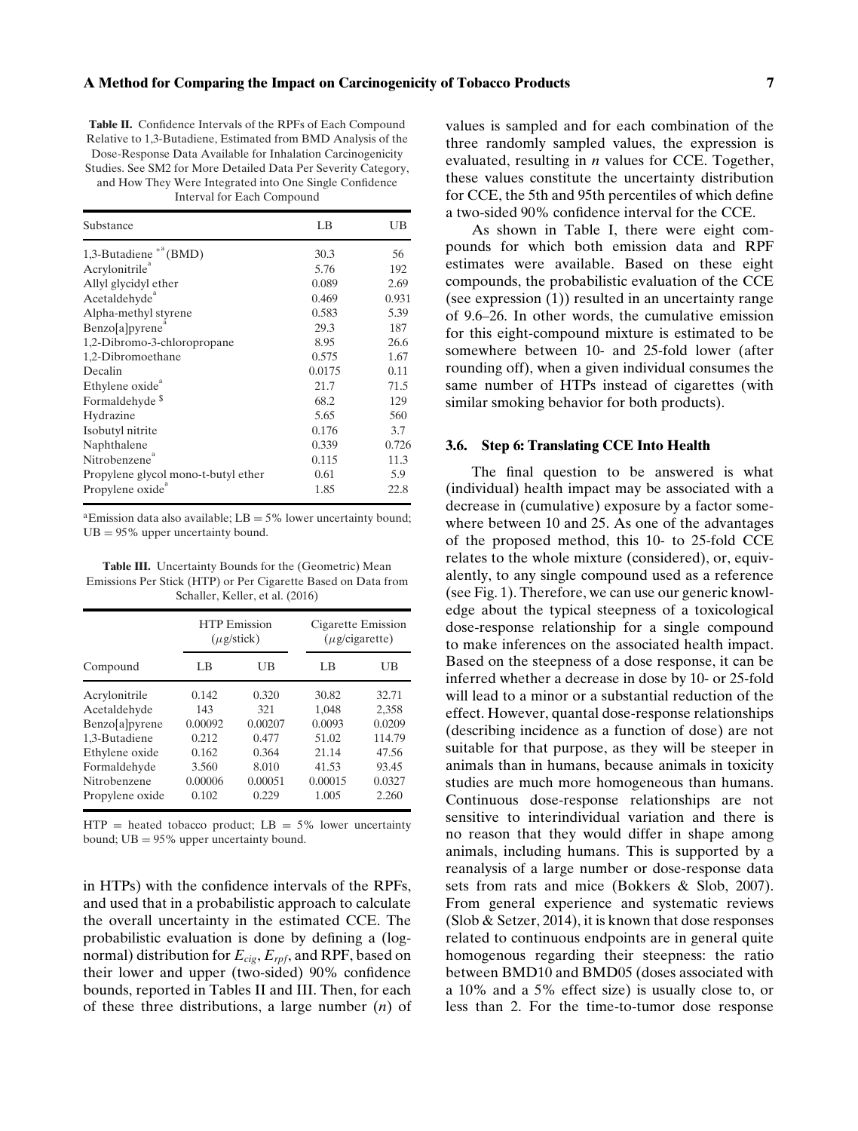Interval for Each Compound

| Substance                            | LB     | UB    |
|--------------------------------------|--------|-------|
| 1,3-Butadiene $*$ <sup>a</sup> (BMD) | 30.3   | 56    |
| Acrylonitrile                        | 5.76   | 192   |
| Allyl glycidyl ether                 | 0.089  | 2.69  |
| Acetaldehyde <sup>a</sup>            | 0.469  | 0.931 |
| Alpha-methyl styrene                 | 0.583  | 5.39  |
| Benzo[a]pyrene <sup>®</sup>          | 29.3   | 187   |
| 1,2-Dibromo-3-chloropropane          | 8.95   | 26.6  |
| 1,2-Dibromoethane                    | 0.575  | 1.67  |
| Decalin                              | 0.0175 | 0.11  |
| Ethylene oxide <sup>®</sup>          | 21.7   | 71.5  |
| Formaldehyde <sup>\$</sup>           | 68.2   | 129   |
| Hydrazine                            | 5.65   | 560   |
| Isobutyl nitrite                     | 0.176  | 3.7   |
| Naphthalene                          | 0.339  | 0.726 |
| Nitrobenzene <sup>®</sup>            | 0.115  | 11.3  |
| Propylene glycol mono-t-butyl ether  | 0.61   | 5.9   |
| Propylene oxide                      | 1.85   | 22.8  |

<sup>a</sup>Emission data also available;  $LB = 5\%$  lower uncertainty bound;  $UB = 95\%$  upper uncertainty bound.

**Table III.** Uncertainty Bounds for the (Geometric) Mean Emissions Per Stick (HTP) or Per Cigarette Based on Data from Schaller, Keller, et al. (2016)

|                 |         | <b>HTP</b> Emission<br>$(\mu$ g/stick) |         | Cigarette Emission<br>$(\mu$ g/cigarette) |  |
|-----------------|---------|----------------------------------------|---------|-------------------------------------------|--|
| Compound        | LB      | UB                                     | LB      | UB                                        |  |
| Acrylonitrile   | 0.142   | 0.320                                  | 30.82   | 32.71                                     |  |
| Acetaldehyde    | 143     | 321                                    | 1,048   | 2,358                                     |  |
| Benzo[a]pyrene  | 0.00092 | 0.00207                                | 0.0093  | 0.0209                                    |  |
| 1.3-Butadiene   | 0.212   | 0.477                                  | 51.02   | 114.79                                    |  |
| Ethylene oxide  | 0.162   | 0.364                                  | 21.14   | 47.56                                     |  |
| Formaldehyde    | 3.560   | 8.010                                  | 41.53   | 93.45                                     |  |
| Nitrobenzene    | 0.00006 | 0.00051                                | 0.00015 | 0.0327                                    |  |
| Propylene oxide | 0.102   | 0.229                                  | 1.005   | 2.260                                     |  |

 $HTP$  = heated tobacco product;  $LB = 5\%$  lower uncertainty bound; UB = 95% upper uncertainty bound.

in HTPs) with the confidence intervals of the RPFs, and used that in a probabilistic approach to calculate the overall uncertainty in the estimated CCE. The probabilistic evaluation is done by defining a (lognormal) distribution for *Ecig*, *Erpf*, and RPF, based on their lower and upper (two-sided) 90% confidence bounds, reported in Tables II and III. Then, for each of these three distributions, a large number (*n*) of values is sampled and for each combination of the three randomly sampled values, the expression is evaluated, resulting in *n* values for CCE. Together, these values constitute the uncertainty distribution for CCE, the 5th and 95th percentiles of which define a two-sided 90% confidence interval for the CCE.

As shown in Table I, there were eight compounds for which both emission data and RPF estimates were available. Based on these eight compounds, the probabilistic evaluation of the CCE (see expression (1)) resulted in an uncertainty range of 9.6–26. In other words, the cumulative emission for this eight-compound mixture is estimated to be somewhere between 10- and 25-fold lower (after rounding off), when a given individual consumes the same number of HTPs instead of cigarettes (with similar smoking behavior for both products).

### **3.6. Step 6: Translating CCE Into Health**

The final question to be answered is what (individual) health impact may be associated with a decrease in (cumulative) exposure by a factor somewhere between 10 and 25. As one of the advantages of the proposed method, this 10- to 25-fold CCE relates to the whole mixture (considered), or, equivalently, to any single compound used as a reference (see Fig. 1). Therefore, we can use our generic knowledge about the typical steepness of a toxicological dose-response relationship for a single compound to make inferences on the associated health impact. Based on the steepness of a dose response, it can be inferred whether a decrease in dose by 10- or 25-fold will lead to a minor or a substantial reduction of the effect. However, quantal dose-response relationships (describing incidence as a function of dose) are not suitable for that purpose, as they will be steeper in animals than in humans, because animals in toxicity studies are much more homogeneous than humans. Continuous dose-response relationships are not sensitive to interindividual variation and there is no reason that they would differ in shape among animals, including humans. This is supported by a reanalysis of a large number or dose-response data sets from rats and mice (Bokkers & Slob, 2007). From general experience and systematic reviews (Slob & Setzer, 2014), it is known that dose responses related to continuous endpoints are in general quite homogenous regarding their steepness: the ratio between BMD10 and BMD05 (doses associated with a 10% and a 5% effect size) is usually close to, or less than 2. For the time-to-tumor dose response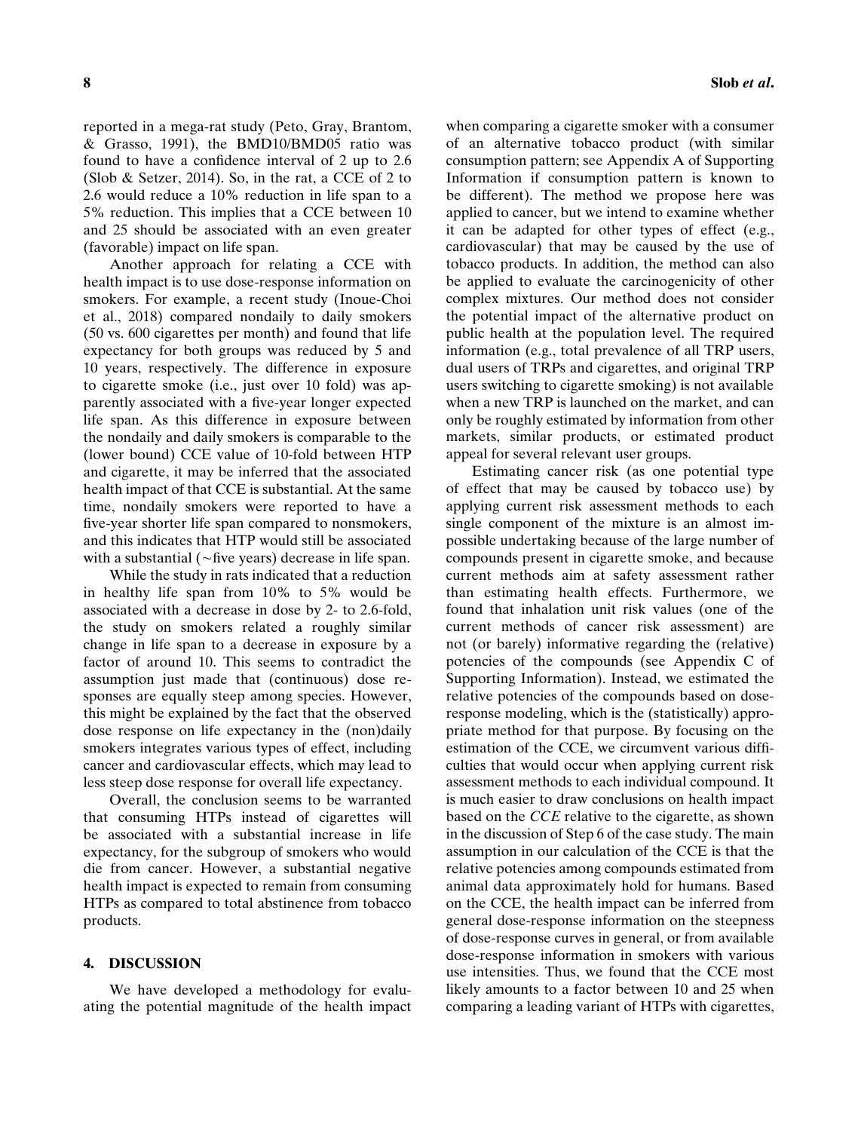reported in a mega-rat study (Peto, Gray, Brantom, & Grasso, 1991), the BMD10/BMD05 ratio was found to have a confidence interval of 2 up to 2.6 (Slob & Setzer, 2014). So, in the rat, a CCE of 2 to 2.6 would reduce a 10% reduction in life span to a 5% reduction. This implies that a CCE between 10 and 25 should be associated with an even greater (favorable) impact on life span.

Another approach for relating a CCE with health impact is to use dose-response information on smokers. For example, a recent study (Inoue-Choi et al., 2018) compared nondaily to daily smokers (50 vs. 600 cigarettes per month) and found that life expectancy for both groups was reduced by 5 and 10 years, respectively. The difference in exposure to cigarette smoke (i.e., just over 10 fold) was apparently associated with a five-year longer expected life span. As this difference in exposure between the nondaily and daily smokers is comparable to the (lower bound) CCE value of 10-fold between HTP and cigarette, it may be inferred that the associated health impact of that CCE is substantial. At the same time, nondaily smokers were reported to have a five-year shorter life span compared to nonsmokers, and this indicates that HTP would still be associated with a substantial ( $\neg$ five years) decrease in life span.

While the study in rats indicated that a reduction in healthy life span from 10% to 5% would be associated with a decrease in dose by 2- to 2.6-fold, the study on smokers related a roughly similar change in life span to a decrease in exposure by a factor of around 10. This seems to contradict the assumption just made that (continuous) dose responses are equally steep among species. However, this might be explained by the fact that the observed dose response on life expectancy in the (non)daily smokers integrates various types of effect, including cancer and cardiovascular effects, which may lead to less steep dose response for overall life expectancy.

Overall, the conclusion seems to be warranted that consuming HTPs instead of cigarettes will be associated with a substantial increase in life expectancy, for the subgroup of smokers who would die from cancer. However, a substantial negative health impact is expected to remain from consuming HTPs as compared to total abstinence from tobacco products.

## **4. DISCUSSION**

We have developed a methodology for evaluating the potential magnitude of the health impact when comparing a cigarette smoker with a consumer of an alternative tobacco product (with similar consumption pattern; see Appendix A of Supporting Information if consumption pattern is known to be different). The method we propose here was applied to cancer, but we intend to examine whether it can be adapted for other types of effect (e.g., cardiovascular) that may be caused by the use of tobacco products. In addition, the method can also be applied to evaluate the carcinogenicity of other complex mixtures. Our method does not consider the potential impact of the alternative product on public health at the population level. The required information (e.g., total prevalence of all TRP users, dual users of TRPs and cigarettes, and original TRP users switching to cigarette smoking) is not available when a new TRP is launched on the market, and can only be roughly estimated by information from other markets, similar products, or estimated product appeal for several relevant user groups.

Estimating cancer risk (as one potential type of effect that may be caused by tobacco use) by applying current risk assessment methods to each single component of the mixture is an almost impossible undertaking because of the large number of compounds present in cigarette smoke, and because current methods aim at safety assessment rather than estimating health effects. Furthermore, we found that inhalation unit risk values (one of the current methods of cancer risk assessment) are not (or barely) informative regarding the (relative) potencies of the compounds (see Appendix C of Supporting Information). Instead, we estimated the relative potencies of the compounds based on doseresponse modeling, which is the (statistically) appropriate method for that purpose. By focusing on the estimation of the CCE, we circumvent various difficulties that would occur when applying current risk assessment methods to each individual compound. It is much easier to draw conclusions on health impact based on the *CCE* relative to the cigarette, as shown in the discussion of Step 6 of the case study. The main assumption in our calculation of the CCE is that the relative potencies among compounds estimated from animal data approximately hold for humans. Based on the CCE, the health impact can be inferred from general dose-response information on the steepness of dose-response curves in general, or from available dose-response information in smokers with various use intensities. Thus, we found that the CCE most likely amounts to a factor between 10 and 25 when comparing a leading variant of HTPs with cigarettes,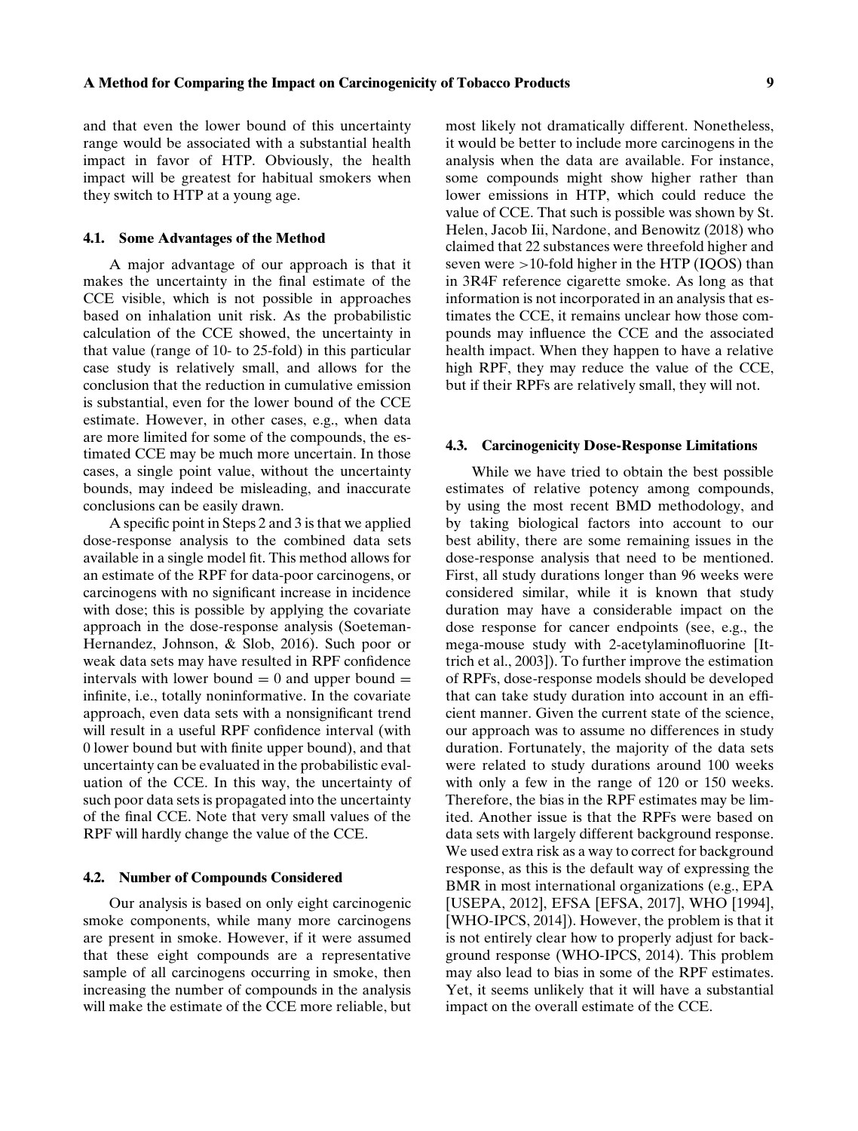and that even the lower bound of this uncertainty range would be associated with a substantial health impact in favor of HTP. Obviously, the health impact will be greatest for habitual smokers when they switch to HTP at a young age.

## **4.1. Some Advantages of the Method**

A major advantage of our approach is that it makes the uncertainty in the final estimate of the CCE visible, which is not possible in approaches based on inhalation unit risk. As the probabilistic calculation of the CCE showed, the uncertainty in that value (range of 10- to 25-fold) in this particular case study is relatively small, and allows for the conclusion that the reduction in cumulative emission is substantial, even for the lower bound of the CCE estimate. However, in other cases, e.g., when data are more limited for some of the compounds, the estimated CCE may be much more uncertain. In those cases, a single point value, without the uncertainty bounds, may indeed be misleading, and inaccurate conclusions can be easily drawn.

A specific point in Steps 2 and 3 is that we applied dose-response analysis to the combined data sets available in a single model fit. This method allows for an estimate of the RPF for data-poor carcinogens, or carcinogens with no significant increase in incidence with dose; this is possible by applying the covariate approach in the dose-response analysis (Soeteman-Hernandez, Johnson, & Slob, 2016). Such poor or weak data sets may have resulted in RPF confidence intervals with lower bound  $= 0$  and upper bound  $=$ infinite, i.e., totally noninformative. In the covariate approach, even data sets with a nonsignificant trend will result in a useful RPF confidence interval (with 0 lower bound but with finite upper bound), and that uncertainty can be evaluated in the probabilistic evaluation of the CCE. In this way, the uncertainty of such poor data sets is propagated into the uncertainty of the final CCE. Note that very small values of the RPF will hardly change the value of the CCE.

## **4.2. Number of Compounds Considered**

Our analysis is based on only eight carcinogenic smoke components, while many more carcinogens are present in smoke. However, if it were assumed that these eight compounds are a representative sample of all carcinogens occurring in smoke, then increasing the number of compounds in the analysis will make the estimate of the CCE more reliable, but most likely not dramatically different. Nonetheless, it would be better to include more carcinogens in the analysis when the data are available. For instance, some compounds might show higher rather than lower emissions in HTP, which could reduce the value of CCE. That such is possible was shown by St. Helen, Jacob Iii, Nardone, and Benowitz (2018) who claimed that 22 substances were threefold higher and seven were *>*10-fold higher in the HTP (IQOS) than in 3R4F reference cigarette smoke. As long as that information is not incorporated in an analysis that estimates the CCE, it remains unclear how those compounds may influence the CCE and the associated health impact. When they happen to have a relative high RPF, they may reduce the value of the CCE, but if their RPFs are relatively small, they will not.

## **4.3. Carcinogenicity Dose-Response Limitations**

While we have tried to obtain the best possible estimates of relative potency among compounds, by using the most recent BMD methodology, and by taking biological factors into account to our best ability, there are some remaining issues in the dose-response analysis that need to be mentioned. First, all study durations longer than 96 weeks were considered similar, while it is known that study duration may have a considerable impact on the dose response for cancer endpoints (see, e.g., the mega-mouse study with 2-acetylaminofluorine [Ittrich et al., 2003]). To further improve the estimation of RPFs, dose-response models should be developed that can take study duration into account in an efficient manner. Given the current state of the science, our approach was to assume no differences in study duration. Fortunately, the majority of the data sets were related to study durations around 100 weeks with only a few in the range of 120 or 150 weeks. Therefore, the bias in the RPF estimates may be limited. Another issue is that the RPFs were based on data sets with largely different background response. We used extra risk as a way to correct for background response, as this is the default way of expressing the BMR in most international organizations (e.g., EPA [USEPA, 2012], EFSA [EFSA, 2017], WHO [1994], [WHO-IPCS, 2014]). However, the problem is that it is not entirely clear how to properly adjust for background response (WHO-IPCS, 2014). This problem may also lead to bias in some of the RPF estimates. Yet, it seems unlikely that it will have a substantial impact on the overall estimate of the CCE.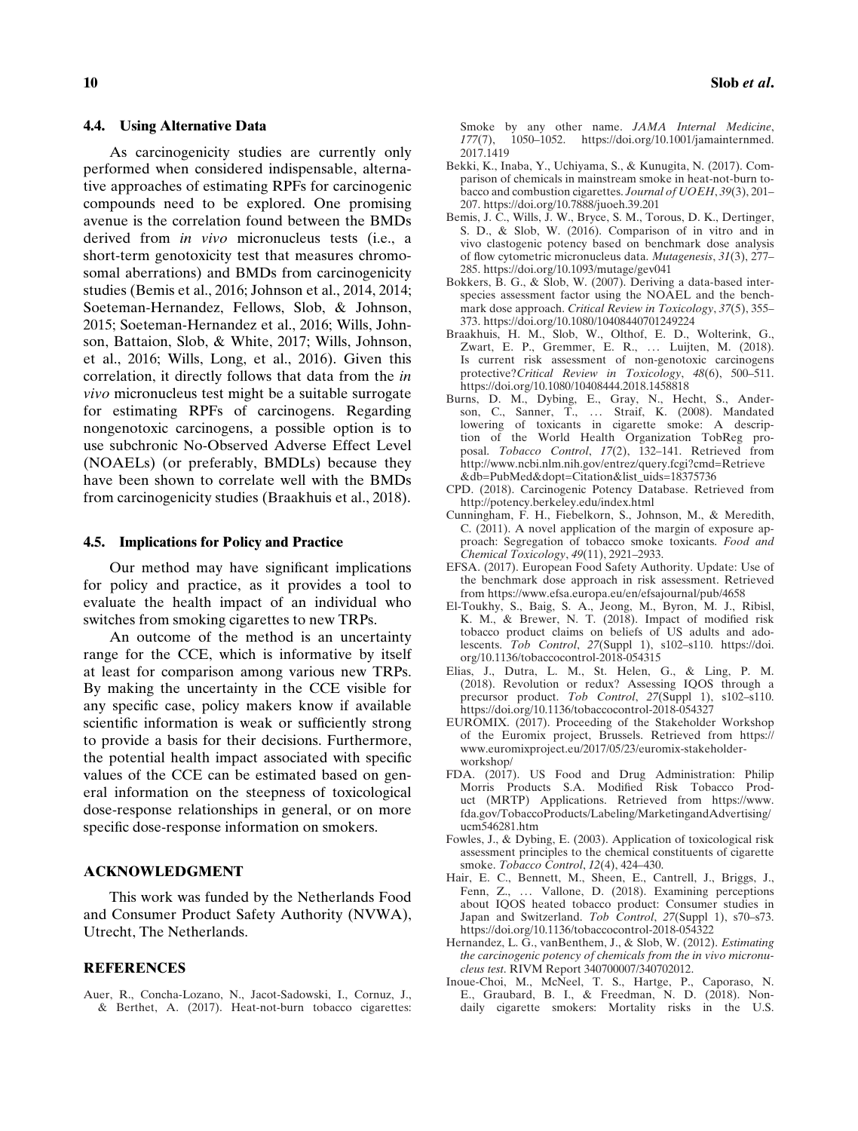#### **4.4. Using Alternative Data**

As carcinogenicity studies are currently only performed when considered indispensable, alternative approaches of estimating RPFs for carcinogenic compounds need to be explored. One promising avenue is the correlation found between the BMDs derived from *in vivo* micronucleus tests (i.e., a short-term genotoxicity test that measures chromosomal aberrations) and BMDs from carcinogenicity studies (Bemis et al., 2016; Johnson et al., 2014, 2014; Soeteman-Hernandez, Fellows, Slob, & Johnson, 2015; Soeteman-Hernandez et al., 2016; Wills, Johnson, Battaion, Slob, & White, 2017; Wills, Johnson, et al., 2016; Wills, Long, et al., 2016). Given this correlation, it directly follows that data from the *in vivo* micronucleus test might be a suitable surrogate for estimating RPFs of carcinogens. Regarding nongenotoxic carcinogens, a possible option is to use subchronic No-Observed Adverse Effect Level (NOAELs) (or preferably, BMDLs) because they have been shown to correlate well with the BMDs from carcinogenicity studies (Braakhuis et al., 2018).

## **4.5. Implications for Policy and Practice**

Our method may have significant implications for policy and practice, as it provides a tool to evaluate the health impact of an individual who switches from smoking cigarettes to new TRPs.

An outcome of the method is an uncertainty range for the CCE, which is informative by itself at least for comparison among various new TRPs. By making the uncertainty in the CCE visible for any specific case, policy makers know if available scientific information is weak or sufficiently strong to provide a basis for their decisions. Furthermore, the potential health impact associated with specific values of the CCE can be estimated based on general information on the steepness of toxicological dose-response relationships in general, or on more specific dose-response information on smokers.

# **ACKNOWLEDGMENT**

This work was funded by the Netherlands Food and Consumer Product Safety Authority (NVWA), Utrecht, The Netherlands.

#### **REFERENCES**

Auer, R., Concha-Lozano, N., Jacot-Sadowski, I., Cornuz, J., & Berthet, A. (2017). Heat-not-burn tobacco cigarettes: Smoke by any other name. *JAMA Internal Medicine*, *177*(7), 1050–1052. https://doi.org/10.1001/jamainternmed. 2017.1419

- Bekki, K., Inaba, Y., Uchiyama, S., & Kunugita, N. (2017). Comparison of chemicals in mainstream smoke in heat-not-burn tobacco and combustion cigarettes. *Journal of UOEH*, *39*(3), 201– 207. https://doi.org/10.7888/juoeh.39.201
- Bemis, J. C., Wills, J. W., Bryce, S. M., Torous, D. K., Dertinger, S. D., & Slob, W. (2016). Comparison of in vitro and in vivo clastogenic potency based on benchmark dose analysis of flow cytometric micronucleus data. *Mutagenesis*, *31*(3), 277– 285. https://doi.org/10.1093/mutage/gev041
- Bokkers, B. G., & Slob, W. (2007). Deriving a data-based interspecies assessment factor using the NOAEL and the benchmark dose approach. *Critical Review in Toxicology*, *37*(5), 355– 373. https://doi.org/10.1080/10408440701249224
- Braakhuis, H. M., Slob, W., Olthof, E. D., Wolterink, G., Zwart, E. P., Gremmer, E. R., ... Luijten, M. (2018). Is current risk assessment of non-genotoxic carcinogens protective?*Critical Review in Toxicology*, *48*(6), 500–511. https://doi.org/10.1080/10408444.2018.1458818
- Burns, D. M., Dybing, E., Gray, N., Hecht, S., Anderson, C., Sanner, T., ... Straif, K. (2008). Mandated lowering of toxicants in cigarette smoke: A description of the World Health Organization TobReg proposal. *Tobacco Control*, *17*(2), 132–141. Retrieved from http://www.ncbi.nlm.nih.gov/entrez/query.fcgi?cmd=Retrieve &db=PubMed&dopt=Citation&list\_uids=18375736
- CPD. (2018). Carcinogenic Potency Database. Retrieved from http://potency.berkeley.edu/index.html
- Cunningham, F. H., Fiebelkorn, S., Johnson, M., & Meredith, C. (2011). A novel application of the margin of exposure approach: Segregation of tobacco smoke toxicants. *Food and Chemical Toxicology*, *49*(11), 2921–2933.
- EFSA. (2017). European Food Safety Authority. Update: Use of the benchmark dose approach in risk assessment. Retrieved from https://www.efsa.europa.eu/en/efsajournal/pub/4658
- El-Toukhy, S., Baig, S. A., Jeong, M., Byron, M. J., Ribisl, K. M., & Brewer, N. T. (2018). Impact of modified risk tobacco product claims on beliefs of US adults and adolescents. *Tob Control*, *27*(Suppl 1), s102–s110. https://doi. org/10.1136/tobaccocontrol-2018-054315
- Elias, J., Dutra, L. M., St. Helen, G., & Ling, P. M. (2018). Revolution or redux? Assessing IQOS through a precursor product. *Tob Control*, *27*(Suppl 1), s102–s110. https://doi.org/10.1136/tobaccocontrol-2018-054327
- EUROMIX. (2017). Proceeding of the Stakeholder Workshop of the Euromix project, Brussels. Retrieved from https:// www.euromixproject.eu/2017/05/23/euromix-stakeholderworkshop/
- FDA. (2017). US Food and Drug Administration: Philip Morris Products S.A. Modified Risk Tobacco Product (MRTP) Applications. Retrieved from https://www. fda.gov/TobaccoProducts/Labeling/MarketingandAdvertising/ ucm546281.htm
- Fowles, J., & Dybing, E. (2003). Application of toxicological risk assessment principles to the chemical constituents of cigarette smoke. *Tobacco Control*, *12*(4), 424–430.
- Hair, E. C., Bennett, M., Sheen, E., Cantrell, J., Briggs, J., Fenn, Z., ... Vallone, D. (2018). Examining perceptions about IQOS heated tobacco product: Consumer studies in Japan and Switzerland. *Tob Control*, *27*(Suppl 1), s70–s73. https://doi.org/10.1136/tobaccocontrol-2018-054322
- Hernandez, L. G., vanBenthem, J., & Slob, W. (2012). *Estimating the carcinogenic potency of chemicals from the in vivo micronucleus test*. RIVM Report 340700007/340702012.
- Inoue-Choi, M., McNeel, T. S., Hartge, P., Caporaso, N. E., Graubard, B. I., & Freedman, N. D. (2018). Nondaily cigarette smokers: Mortality risks in the U.S.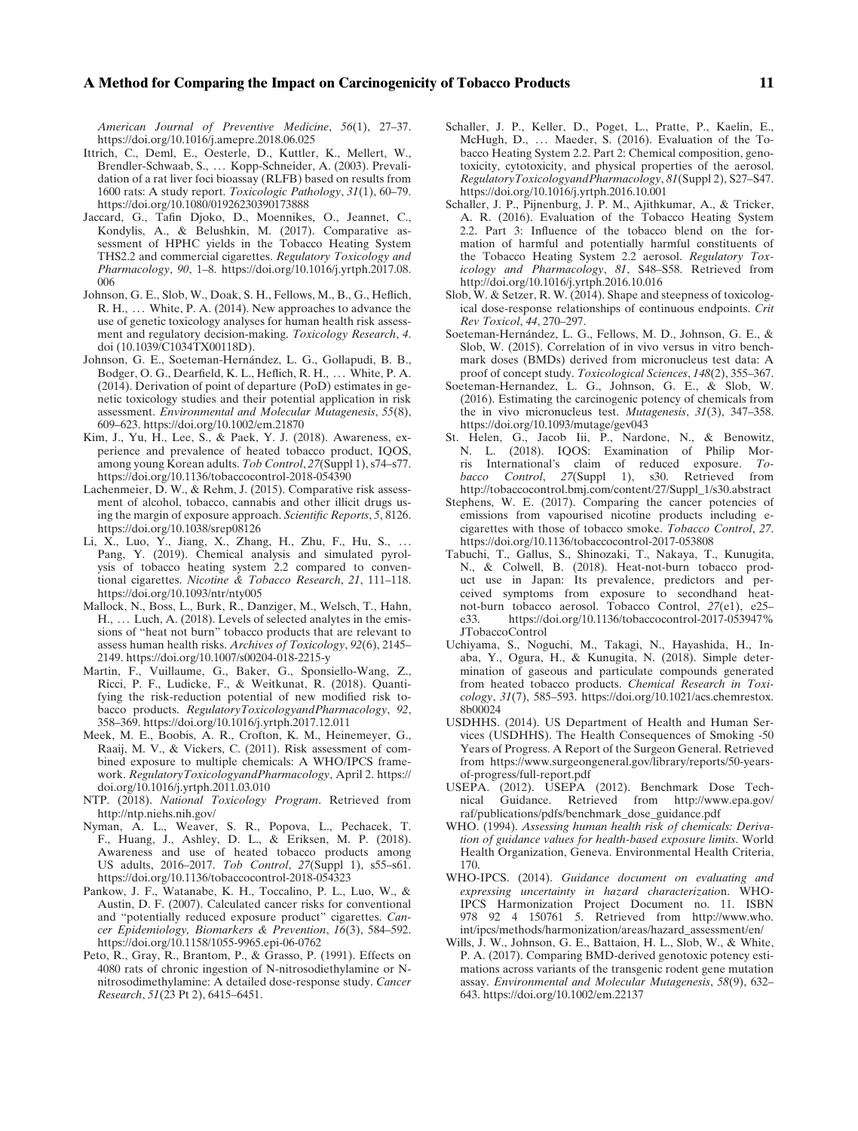#### **A Method for Comparing the Impact on Carcinogenicity of Tobacco Products 11**

*American Journal of Preventive Medicine*, *56*(1), 27–37. https://doi.org/10.1016/j.amepre.2018.06.025

- Ittrich, C., Deml, E., Oesterle, D., Kuttler, K., Mellert, W., Brendler-Schwaab, S., . . . Kopp-Schneider, A. (2003). Prevalidation of a rat liver foci bioassay (RLFB) based on results from 1600 rats: A study report. *Toxicologic Pathology*, *31*(1), 60–79. https://doi.org/10.1080/01926230390173888
- Jaccard, G., Tafin Djoko, D., Moennikes, O., Jeannet, C., Kondylis, A., & Belushkin, M. (2017). Comparative assessment of HPHC yields in the Tobacco Heating System THS2.2 and commercial cigarettes. *Regulatory Toxicology and Pharmacology*, *90*, 1–8. https://doi.org/10.1016/j.yrtph.2017.08. 006
- Johnson, G. E., Slob, W., Doak, S. H., Fellows, M., B., G., Heflich, R. H., ... White, P. A. (2014). New approaches to advance the use of genetic toxicology analyses for human health risk assessment and regulatory decision-making. *Toxicology Research*, *4*. doi (10.1039/C1034TX00118D).
- Johnson, G. E., Soeteman-Hernández, L. G., Gollapudi, B. B., Bodger, O. G., Dearfield, K. L., Heflich, R. H., ... White, P. A. (2014). Derivation of point of departure (PoD) estimates in genetic toxicology studies and their potential application in risk assessment. *Environmental and Molecular Mutagenesis*, *55*(8), 609–623. https://doi.org/10.1002/em.21870
- Kim, J., Yu, H., Lee, S., & Paek, Y. J. (2018). Awareness, experience and prevalence of heated tobacco product, IQOS, among young Korean adults. *Tob Control*, *27*(Suppl 1), s74–s77. https://doi.org/10.1136/tobaccocontrol-2018-054390
- Lachenmeier, D. W., & Rehm, J. (2015). Comparative risk assessment of alcohol, tobacco, cannabis and other illicit drugs using the margin of exposure approach. *Scientific Reports*, *5*, 8126. https://doi.org/10.1038/srep08126
- Li, X., Luo, Y., Jiang, X., Zhang, H., Zhu, F., Hu, S., Pang, Y. (2019). Chemical analysis and simulated pyrolysis of tobacco heating system 2.2 compared to conventional cigarettes. *Nicotine & Tobacco Research*, *21*, 111–118. https://doi.org/10.1093/ntr/nty005
- Mallock, N., Boss, L., Burk, R., Danziger, M., Welsch, T., Hahn, H., ... Luch, A. (2018). Levels of selected analytes in the emissions of "heat not burn" tobacco products that are relevant to assess human health risks. *Archives of Toxicology*, *92*(6), 2145– 2149. https://doi.org/10.1007/s00204-018-2215-y
- Martin, F., Vuillaume, G., Baker, G., Sponsiello-Wang, Z., Ricci, P. F., Ludicke, F., & Weitkunat, R. (2018). Quantifying the risk-reduction potential of new modified risk tobacco products. *RegulatoryToxicologyandPharmacology*, *92*, 358–369. https://doi.org/10.1016/j.yrtph.2017.12.011
- Meek, M. E., Boobis, A. R., Crofton, K. M., Heinemeyer, G., Raaij, M. V., & Vickers, C. (2011). Risk assessment of combined exposure to multiple chemicals: A WHO/IPCS framework. *RegulatoryToxicologyandPharmacology*, April 2. https:// doi.org/10.1016/j.yrtph.2011.03.010
- NTP. (2018). *National Toxicology Program*. Retrieved from http://ntp.niehs.nih.gov/
- Nyman, A. L., Weaver, S. R., Popova, L., Pechacek, T. F., Huang, J., Ashley, D. L., & Eriksen, M. P. (2018). Awareness and use of heated tobacco products among US adults, 2016–2017. *Tob Control*, *27*(Suppl 1), s55–s61. https://doi.org/10.1136/tobaccocontrol-2018-054323
- Pankow, J. F., Watanabe, K. H., Toccalino, P. L., Luo, W., & Austin, D. F. (2007). Calculated cancer risks for conventional and "potentially reduced exposure product" cigarettes. *Cancer Epidemiology, Biomarkers & Prevention*, *16*(3), 584–592. https://doi.org/10.1158/1055-9965.epi-06-0762
- Peto, R., Gray, R., Brantom, P., & Grasso, P. (1991). Effects on 4080 rats of chronic ingestion of N-nitrosodiethylamine or Nnitrosodimethylamine: A detailed dose-response study. *Cancer Research*, *51*(23 Pt 2), 6415–6451.
- Schaller, J. P., Keller, D., Poget, L., Pratte, P., Kaelin, E., McHugh, D., ... Maeder, S. (2016). Evaluation of the Tobacco Heating System 2.2. Part 2: Chemical composition, genotoxicity, cytotoxicity, and physical properties of the aerosol. *RegulatoryToxicologyandPharmacology*, *81*(Suppl 2), S27–S47. https://doi.org/10.1016/j.yrtph.2016.10.001
- Schaller, J. P., Pijnenburg, J. P. M., Ajithkumar, A., & Tricker, A. R. (2016). Evaluation of the Tobacco Heating System 2.2. Part 3: Influence of the tobacco blend on the formation of harmful and potentially harmful constituents of the Tobacco Heating System 2.2 aerosol. *Regulatory Toxicology and Pharmacology*, *81*, S48–S58. Retrieved from http://doi.org/10.1016/j.yrtph.2016.10.016
- Slob, W. & Setzer, R. W. (2014). Shape and steepness of toxicological dose-response relationships of continuous endpoints. *Crit Rev Toxicol*, *44*, 270–297.
- Soeteman-Hernández, L. G., Fellows, M. D., Johnson, G. E., & Slob, W. (2015). Correlation of in vivo versus in vitro benchmark doses (BMDs) derived from micronucleus test data: A proof of concept study. *Toxicological Sciences*, *148*(2), 355–367.
- Soeteman-Hernandez, L. G., Johnson, G. E., & Slob, W. (2016). Estimating the carcinogenic potency of chemicals from the in vivo micronucleus test. *Mutagenesis*, *31*(3), 347–358. https://doi.org/10.1093/mutage/gev043
- St. Helen, G., Jacob Iii, P., Nardone, N., & Benowitz, N. L. (2018). IQOS: Examination of Philip Morris International's claim of reduced exposure. *Tobacco Control*, *27*(Suppl 1), s30. Retrieved from http://tobaccocontrol.bmj.com/content/27/Suppl\_1/s30.abstract
- Stephens, W. E. (2017). Comparing the cancer potencies of emissions from vapourised nicotine products including ecigarettes with those of tobacco smoke. *Tobacco Control*, *27*. https://doi.org/10.1136/tobaccocontrol-2017-053808
- Tabuchi, T., Gallus, S., Shinozaki, T., Nakaya, T., Kunugita, N., & Colwell, B. (2018). Heat-not-burn tobacco product use in Japan: Its prevalence, predictors and perceived symptoms from exposure to secondhand heatnot-burn tobacco aerosol. Tobacco Control, *27*(e1), e25– e33. https://doi.org/10.1136/tobaccocontrol-2017-053947% JTobaccoControl
- Uchiyama, S., Noguchi, M., Takagi, N., Hayashida, H., Inaba, Y., Ogura, H., & Kunugita, N. (2018). Simple determination of gaseous and particulate compounds generated from heated tobacco products. *Chemical Research in Toxicology*, *31*(7), 585–593. https://doi.org/10.1021/acs.chemrestox. 8b00024
- USDHHS. (2014). US Department of Health and Human Services (USDHHS). The Health Consequences of Smoking -50 Years of Progress. A Report of the Surgeon General. Retrieved from https://www.surgeongeneral.gov/library/reports/50-yearsof-progress/full-report.pdf
- USEPA. (2012). USEPA (2012). Benchmark Dose Tech-Guidance. Retrieved from http://www.epa.gov/ raf/publications/pdfs/benchmark\_dose\_guidance.pdf
- WHO. (1994). *Assessing human health risk of chemicals: Derivation of guidance values for health-based exposure limits*. World Health Organization, Geneva. Environmental Health Criteria, 170.
- WHO-IPCS. (2014). *Guidance document on evaluating and expressing uncertainty in hazard characterizatio*n. WHO-IPCS Harmonization Project Document no. 11. ISBN 978 92 4 150761 5. Retrieved from http://www.who. int/ipcs/methods/harmonization/areas/hazard\_assessment/en/
- Wills, J. W., Johnson, G. E., Battaion, H. L., Slob, W., & White, P. A. (2017). Comparing BMD-derived genotoxic potency estimations across variants of the transgenic rodent gene mutation assay. *Environmental and Molecular Mutagenesis*, *58*(9), 632– 643. https://doi.org/10.1002/em.22137